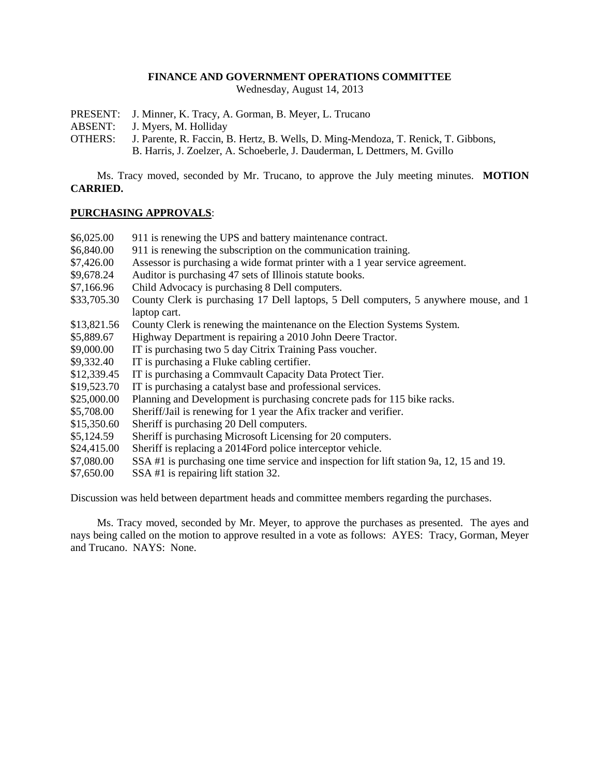## **FINANCE AND GOVERNMENT OPERATIONS COMMITTEE**

Wednesday, August 14, 2013

- PRESENT: J. Minner, K. Tracy, A. Gorman, B. Meyer, L. Trucano
- ABSENT: J. Myers, M. Holliday
- OTHERS: J. Parente, R. Faccin, B. Hertz, B. Wells, D. Ming-Mendoza, T. Renick, T. Gibbons, B. Harris, J. Zoelzer, A. Schoeberle, J. Dauderman, L Dettmers, M. Gvillo

Ms. Tracy moved, seconded by Mr. Trucano, to approve the July meeting minutes. **MOTION CARRIED.**

### **PURCHASING APPROVALS**:

| \$6,025.00  | 911 is renewing the UPS and battery maintenance contract.                                |
|-------------|------------------------------------------------------------------------------------------|
| \$6,840.00  | 911 is renewing the subscription on the communication training.                          |
| \$7,426.00  | Assessor is purchasing a wide format printer with a 1 year service agreement.            |
| \$9,678.24  | Auditor is purchasing 47 sets of Illinois statute books.                                 |
| \$7,166.96  | Child Advocacy is purchasing 8 Dell computers.                                           |
| \$33,705.30 | County Clerk is purchasing 17 Dell laptops, 5 Dell computers, 5 anywhere mouse, and 1    |
|             | laptop cart.                                                                             |
| \$13,821.56 | County Clerk is renewing the maintenance on the Election Systems System.                 |
| \$5,889.67  | Highway Department is repairing a 2010 John Deere Tractor.                               |
| \$9,000.00  | IT is purchasing two 5 day Citrix Training Pass voucher.                                 |
| \$9,332.40  | IT is purchasing a Fluke cabling certifier.                                              |
| \$12,339.45 | IT is purchasing a Commvault Capacity Data Protect Tier.                                 |
| \$19,523.70 | IT is purchasing a catalyst base and professional services.                              |
| \$25,000.00 | Planning and Development is purchasing concrete pads for 115 bike racks.                 |
| \$5,708.00  | Sheriff/Jail is renewing for 1 year the Afix tracker and verifier.                       |
| \$15,350.60 | Sheriff is purchasing 20 Dell computers.                                                 |
| \$5,124.59  | Sheriff is purchasing Microsoft Licensing for 20 computers.                              |
| \$24,415.00 | Sheriff is replacing a 2014Ford police interceptor vehicle.                              |
| \$7,080.00  | SSA #1 is purchasing one time service and inspection for lift station 9a, 12, 15 and 19. |
| \$7,650.00  | SSA #1 is repairing lift station 32.                                                     |

Discussion was held between department heads and committee members regarding the purchases.

Ms. Tracy moved, seconded by Mr. Meyer, to approve the purchases as presented. The ayes and nays being called on the motion to approve resulted in a vote as follows: AYES: Tracy, Gorman, Meyer and Trucano. NAYS: None.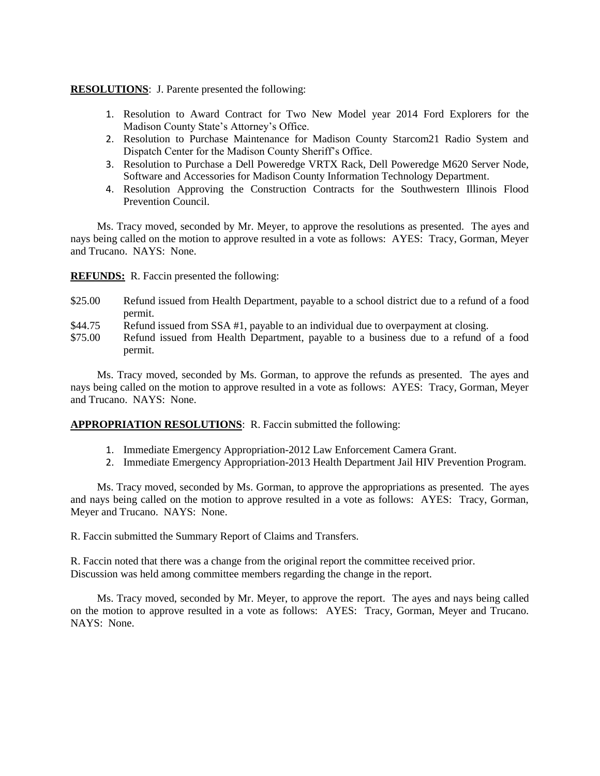## **RESOLUTIONS**: J. Parente presented the following:

- 1. Resolution to Award Contract for Two New Model year 2014 Ford Explorers for the Madison County State's Attorney's Office.
- 2. Resolution to Purchase Maintenance for Madison County Starcom21 Radio System and Dispatch Center for the Madison County Sheriff's Office.
- 3. Resolution to Purchase a Dell Poweredge VRTX Rack, Dell Poweredge M620 Server Node, Software and Accessories for Madison County Information Technology Department.
- 4. Resolution Approving the Construction Contracts for the Southwestern Illinois Flood Prevention Council.

Ms. Tracy moved, seconded by Mr. Meyer, to approve the resolutions as presented. The ayes and nays being called on the motion to approve resulted in a vote as follows: AYES: Tracy, Gorman, Meyer and Trucano. NAYS: None.

**REFUNDS:** R. Faccin presented the following:

- \$25.00 Refund issued from Health Department, payable to a school district due to a refund of a food permit.
- \$44.75 Refund issued from SSA #1, payable to an individual due to overpayment at closing.
- \$75.00 Refund issued from Health Department, payable to a business due to a refund of a food permit.

Ms. Tracy moved, seconded by Ms. Gorman, to approve the refunds as presented. The ayes and nays being called on the motion to approve resulted in a vote as follows: AYES: Tracy, Gorman, Meyer and Trucano. NAYS: None.

### **APPROPRIATION RESOLUTIONS**: R. Faccin submitted the following:

- 1. Immediate Emergency Appropriation-2012 Law Enforcement Camera Grant.
- 2. Immediate Emergency Appropriation-2013 Health Department Jail HIV Prevention Program.

Ms. Tracy moved, seconded by Ms. Gorman, to approve the appropriations as presented. The ayes and nays being called on the motion to approve resulted in a vote as follows: AYES: Tracy, Gorman, Meyer and Trucano. NAYS: None.

R. Faccin submitted the Summary Report of Claims and Transfers.

R. Faccin noted that there was a change from the original report the committee received prior. Discussion was held among committee members regarding the change in the report.

Ms. Tracy moved, seconded by Mr. Meyer, to approve the report. The ayes and nays being called on the motion to approve resulted in a vote as follows: AYES: Tracy, Gorman, Meyer and Trucano. NAYS: None.